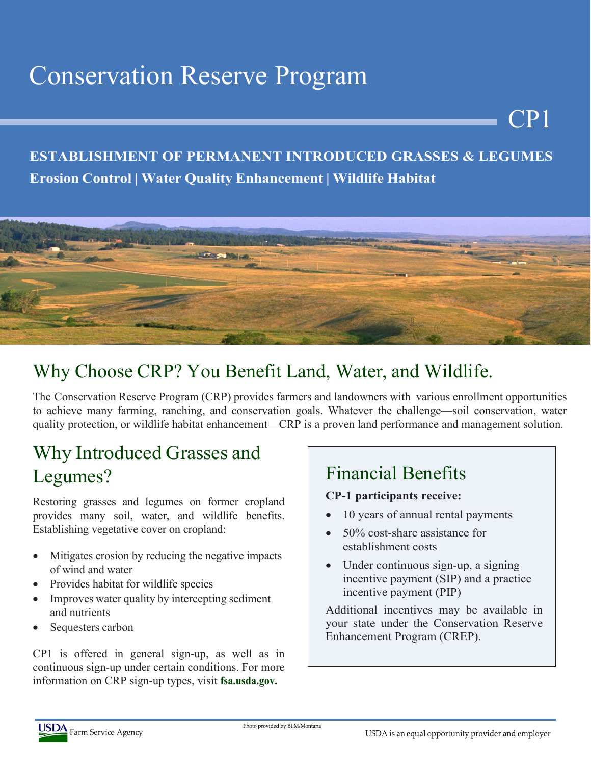# Conservation Reserve Program

#### **ESTABLISHMENT OF PERMANENT INTRODUCED GRASSES & LEGUMES Erosion Control | Water Quality Enhancement | Wildlife Habitat**



# Why Choose CRP? You Benefit Land, Water, and Wildlife.

The Conservation Reserve Program (CRP) provides farmers and landowners with various enrollment opportunities to achieve many farming, ranching, and conservation goals. Whatever the challenge—soil conservation, water quality protection, or wildlife habitat enhancement—CRP is a proven land performance and management solution.

# Why Introduced Grasses and Legumes?

Restoring grasses and legumes on former cropland provides many soil, water, and wildlife benefits. Establishing vegetative cover on cropland:

- Mitigates erosion by reducing the negative impacts of wind and water
- Provides habitat for wildlife species
- Improves water quality by intercepting sediment and nutrients
- Sequesters carbon

CP1 is offered in general sign-up, as well as in continuous sign-up under certain conditions. For more information on CRP sign-up types, visit **fsa.usda.gov.**

# Financial Benefits

#### **CP-1 participants receive:**

• 10 years of annual rental payments

CP1

- 50% cost-share assistance for establishment costs
- Under continuous sign-up, a signing incentive payment (SIP) and a practice incentive payment (PIP)

Additional incentives may be available in your state under the Conservation Reserve Enhancement Program (CREP).